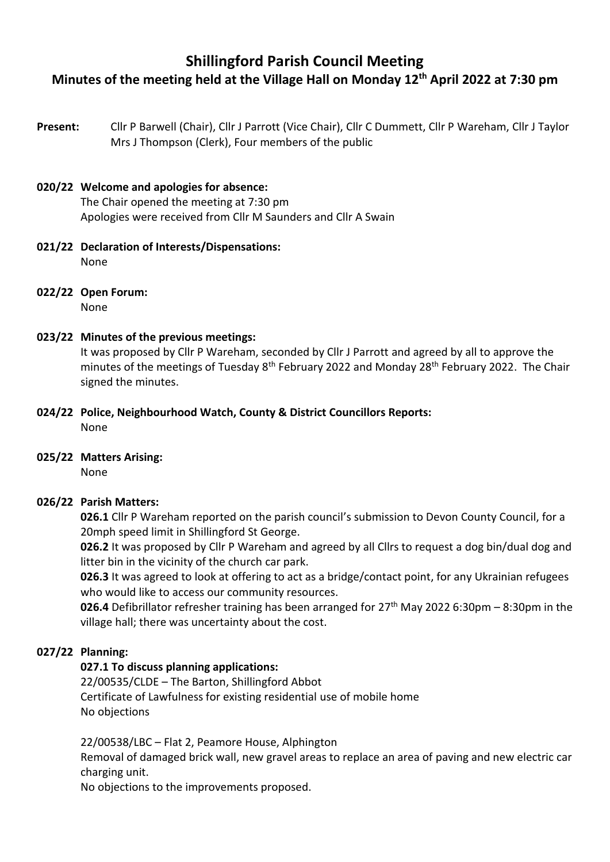# **Shillingford Parish Council Meeting Minutes of the meeting held at the Village Hall on Monday 12th April 2022 at 7:30 pm**

**Present:** Cllr P Barwell (Chair), Cllr J Parrott (Vice Chair), Cllr C Dummett, Cllr P Wareham, Cllr J Taylor Mrs J Thompson (Clerk), Four members of the public

### **020/22 Welcome and apologies for absence:** The Chair opened the meeting at 7:30 pm

Apologies were received from Cllr M Saunders and Cllr A Swain

- **021/22 Declaration of Interests/Dispensations:** None
- **022/22 Open Forum:**  None

## **023/22 Minutes of the previous meetings:**

It was proposed by Cllr P Wareham, seconded by Cllr J Parrott and agreed by all to approve the minutes of the meetings of Tuesday 8<sup>th</sup> February 2022 and Monday 28<sup>th</sup> February 2022. The Chair signed the minutes.

- **024/22 Police, Neighbourhood Watch, County & District Councillors Reports:** None
- **025/22 Matters Arising:**

None

### **026/22 Parish Matters:**

**026.1** Cllr P Wareham reported on the parish council's submission to Devon County Council, for a 20mph speed limit in Shillingford St George.

**026.2** It was proposed by Cllr P Wareham and agreed by all Cllrs to request a dog bin/dual dog and litter bin in the vicinity of the church car park.

**026.3** It was agreed to look at offering to act as a bridge/contact point, for any Ukrainian refugees who would like to access our community resources.

**026.4** Defibrillator refresher training has been arranged for 27<sup>th</sup> May 2022 6:30pm – 8:30pm in the village hall; there was uncertainty about the cost.

### **027/22 Planning:**

### **027.1 To discuss planning applications:**

22/00535/CLDE – The Barton, Shillingford Abbot Certificate of Lawfulness for existing residential use of mobile home No objections

22/00538/LBC – Flat 2, Peamore House, Alphington

Removal of damaged brick wall, new gravel areas to replace an area of paving and new electric car charging unit.

No objections to the improvements proposed.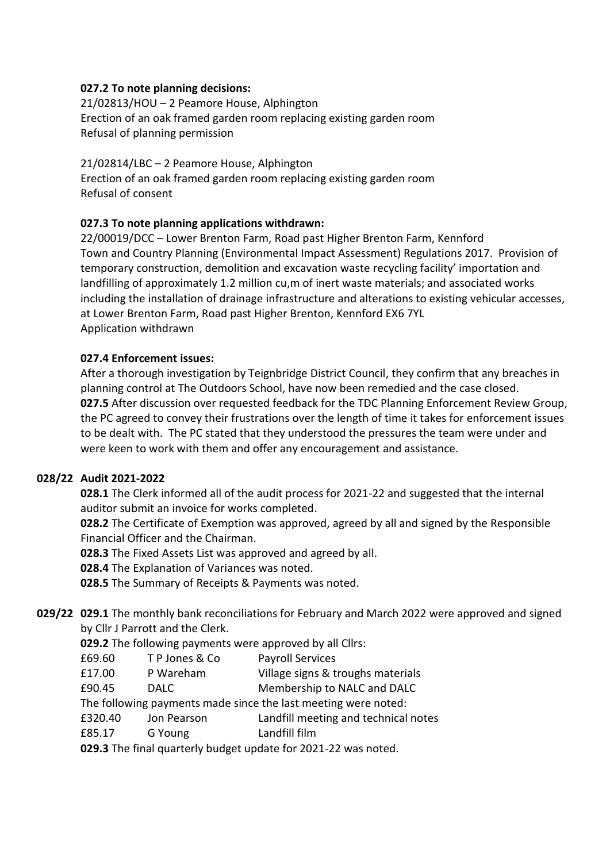### **027.2 To note planning decisions:**

21/02813/HOU – 2 Peamore House, Alphington Erection of an oak framed garden room replacing existing garden room Refusal of planning permission

21/02814/LBC – 2 Peamore House, Alphington Erection of an oak framed garden room replacing existing garden room Refusal of consent

## **027.3 To note planning applications withdrawn:**

22/00019/DCC – Lower Brenton Farm, Road past Higher Brenton Farm, Kennford Town and Country Planning (Environmental Impact Assessment) Regulations 2017. Provision of temporary construction, demolition and excavation waste recycling facility' importation and landfilling of approximately 1.2 million cu,m of inert waste materials; and associated works including the installation of drainage infrastructure and alterations to existing vehicular accesses, at Lower Brenton Farm, Road past Higher Brenton, Kennford EX6 7YL Application withdrawn

### **027.4 Enforcement issues:**

After a thorough investigation by Teignbridge District Council, they confirm that any breaches in planning control at The Outdoors School, have now been remedied and the case closed. **027.5** After discussion over requested feedback for the TDC Planning Enforcement Review Group, the PC agreed to convey their frustrations over the length of time it takes for enforcement issues to be dealt with. The PC stated that they understood the pressures the team were under and were keen to work with them and offer any encouragement and assistance.

### **028/22 Audit 2021-2022**

**028.1** The Clerk informed all of the audit process for 2021-22 and suggested that the internal auditor submit an invoice for works completed.

**028.2** The Certificate of Exemption was approved, agreed by all and signed by the Responsible Financial Officer and the Chairman.

**028.3** The Fixed Assets List was approved and agreed by all.

**028.4** The Explanation of Variances was noted.

**028.5** The Summary of Receipts & Payments was noted.

## **029/22 029.1** The monthly bank reconciliations for February and March 2022 were approved and signed by Cllr J Parrott and the Clerk.

**029.2** The following payments were approved by all Cllrs:

|  | £69.60 | TP Jones & Co | <b>Payroll Services</b> |
|--|--------|---------------|-------------------------|
|--|--------|---------------|-------------------------|

- £17.00 P Wareham Village signs & troughs materials
- £90.45 DALC Membership to NALC and DALC

The following payments made since the last meeting were noted:

- £320.40 Jon Pearson Landfill meeting and technical notes
- £85.17 G Young Landfill film

**029.3** The final quarterly budget update for 2021-22 was noted.